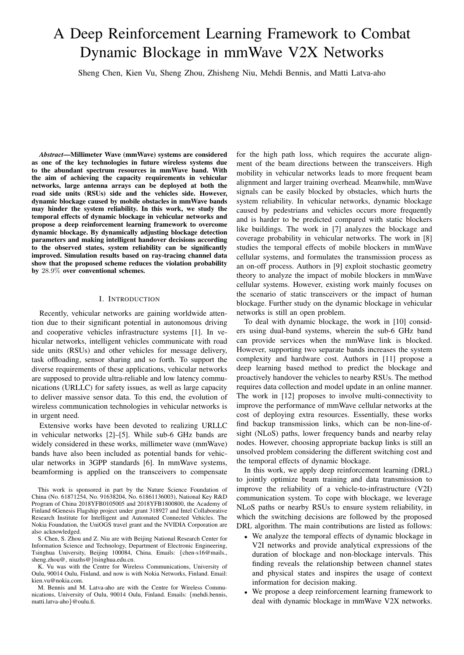# A Deep Reinforcement Learning Framework to Combat Dynamic Blockage in mmWave V2X Networks

Sheng Chen, Kien Vu, Sheng Zhou, Zhisheng Niu, Mehdi Bennis, and Matti Latva-aho

*Abstract*—Millimeter Wave (mmWave) systems are considered as one of the key technologies in future wireless systems due to the abundant spectrum resources in mmWave band. With the aim of achieving the capacity requirements in vehicular networks, large antenna arrays can be deployed at both the road side units (RSUs) side and the vehicles side. However, dynamic blockage caused by mobile obstacles in mmWave bands may hinder the system reliability. In this work, we study the temporal effects of dynamic blockage in vehicular networks and propose a deep reinforcement learning framework to overcome dynamic blockage. By dynamically adjusting blockage detection parameters and making intelligent handover decisions according to the observed states, system reliability can be significantly improved. Simulation results based on ray-tracing channel data show that the proposed scheme reduces the violation probability by 28.9% over conventional schemes.

## I. INTRODUCTION

Recently, vehicular networks are gaining worldwide attention due to their significant potential in autonomous driving and cooperative vehicles infrastructure systems [1]. In vehicular networks, intelligent vehicles communicate with road side units (RSUs) and other vehicles for message delivery, task offloading, sensor sharing and so forth. To support the diverse requirements of these applications, vehicular networks are supposed to provide ultra-reliable and low latency communications (URLLC) for safety issues, as well as large capacity to deliver massive sensor data. To this end, the evolution of wireless communication technologies in vehicular networks is in urgent need.

Extensive works have been devoted to realizing URLLC in vehicular networks [2]–[5]. While sub-6 GHz bands are widely considered in these works, millimeter wave (mmWave) bands have also been included as potential bands for vehicular networks in 3GPP standards [6]. In mmWave systems, beamforming is applied on the transceivers to compensate for the high path loss, which requires the accurate alignment of the beam directions between the transceivers. High mobility in vehicular networks leads to more frequent beam alignment and larger training overhead. Meanwhile, mmWave signals can be easily blocked by obstacles, which hurts the system reliability. In vehicular networks, dynamic blockage caused by pedestrians and vehicles occurs more frequently and is harder to be predicted compared with static blockers like buildings. The work in [7] analyzes the blockage and coverage probability in vehicular networks. The work in [8] studies the temporal effects of mobile blockers in mmWave cellular systems, and formulates the transmission process as an on-off process. Authors in [9] exploit stochastic geometry theory to analyze the impact of mobile blockers in mmWave cellular systems. However, existing work mainly focuses on the scenario of static transceivers or the impact of human blockage. Further study on the dynamic blockage in vehicular networks is still an open problem.

To deal with dynamic blockage, the work in [10] considers using dual-band systems, wherein the sub-6 GHz band can provide services when the mmWave link is blocked. However, supporting two separate bands increases the system complexity and hardware cost. Authors in [11] propose a deep learning based method to predict the blockage and proactively handover the vehicles to nearby RSUs. The method requires data collection and model update in an online manner. The work in [12] proposes to involve multi-connectivity to improve the performance of mmWave cellular networks at the cost of deploying extra resources. Essentially, these works find backup transmission links, which can be non-line-ofsight (NLoS) paths, lower frequency bands and nearby relay nodes. However, choosing appropriate backup links is still an unsolved problem considering the different switching cost and the temporal effects of dynamic blockage.

In this work, we apply deep reinforcement learning (DRL) to jointly optimize beam training and data transmission to improve the reliability of a vehicle-to-infrastructure (V2I) communication system. To cope with blockage, we leverage NLoS paths or nearby RSUs to ensure system reliability, in which the switching decisions are followed by the proposed DRL algorithm. The main contributions are listed as follows:

- We analyze the temporal effects of dynamic blockage in V2I networks and provide analytical expressions of the duration of blockage and non-blockage intervals. This finding reveals the relationship between channel states and physical states and inspires the usage of context information for decision making.
- We propose a deep reinforcement learning framework to deal with dynamic blockage in mmWave V2X networks.

This work is sponsored in part by the Nature Science Foundation of China (No. 61871254, No. 91638204, No. 61861136003), National Key R&D Program of China 2018YFB0105005 and 2018YFB1800800, the Academy of Finland 6Genesis Flagship project under grant 318927 and Intel Collaborative Research Institute for Intelligent and Automated Connected Vehicles. The Nokia Foundation, the UniOGS travel grant and the NVIDIA Corporation are also acknowledged.

S. Chen, S. Zhou and Z. Niu are with Beijing National Research Center for Information Science and Technology, Department of Electronic Engineering, Tsinghua University, Beijing 100084, China. Emails: {chen-s16@mails., sheng.zhou@, niuzhs@}tsinghua.edu.cn.

K. Vu was with the Centre for Wireless Communications, University of Oulu, 90014 Oulu, Finland, and now is with Nokia Networks, Finland. Email: kien.vu@nokia.com.

M. Bennis and M. Latva-aho are with the Centre for Wireless Communications, University of Oulu, 90014 Oulu, Finland. Emails: {mehdi.bennis, matti.latva-aho}@oulu.fi.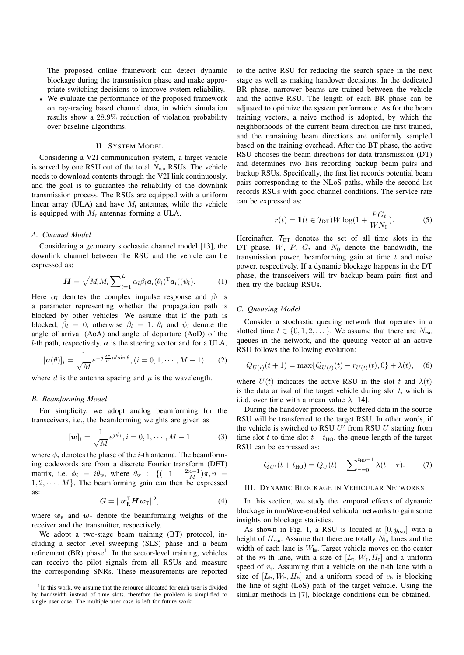The proposed online framework can detect dynamic blockage during the transmission phase and make appropriate switching decisions to improve system reliability.

• We evaluate the performance of the proposed framework on ray-tracing based channel data, in which simulation results show a 28.9% reduction of violation probability over baseline algorithms.

## II. SYSTEM MODEL

Considering a V2I communication system, a target vehicle is served by one RSU out of the total  $N_{rsu}$  RSUs. The vehicle needs to download contents through the V2I link continuously, and the goal is to guarantee the reliability of the downlink transmission process. The RSUs are equipped with a uniform linear array (ULA) and have  $M_t$  antennas, while the vehicle is equipped with  $M_r$  antennas forming a ULA.

## *A. Channel Model*

Considering a geometry stochastic channel model [13], the downlink channel between the RSU and the vehicle can be expressed as:

$$
\boldsymbol{H} = \sqrt{M_{\rm t} M_{\rm r}} \sum_{l=1}^{L} \alpha_l \beta_l \boldsymbol{a}_{\rm r}(\theta_l)^{\rm T} \boldsymbol{a}_{\rm t}((\psi_l). \qquad (1)
$$

Here  $\alpha_l$  denotes the complex impulse response and  $\beta_l$  is a parameter representing whether the propagation path is blocked by other vehicles. We assume that if the path is blocked,  $\beta_l = 0$ , otherwise  $\beta_l = 1$ .  $\theta_l$  and  $\psi_l$  denote the angle of arrival (AoA) and angle of departure (AoD) of the l-th path, respectively.  $\boldsymbol{a}$  is the steering vector and for a ULA,

$$
[\boldsymbol{a}(\theta)]_i = \frac{1}{\sqrt{M}} e^{-j\frac{2\pi}{\mu}id\sin\theta}, (i = 0, 1, \cdots, M - 1).
$$
 (2)

where  $d$  is the antenna spacing and  $\mu$  is the wavelength.

## *B. Beamforming Model*

For simplicity, we adopt analog beamforming for the transceivers, i.e., the beamforming weights are given as

$$
[\mathbf{w}]_i = \frac{1}{\sqrt{M}} e^{j\phi_i}, i = 0, 1, \cdots, M - 1
$$
 (3)

where  $\phi_i$  denotes the phase of the *i*-th antenna. The beamforming codewords are from a discrete Fourier transform (DFT) matrix, i.e.  $\phi_i = i\theta_w$ , where  $\theta_w \in \{(-1 + \frac{2n-1}{M})\pi, n =$  $1, 2, \cdots, M$ . The beamforming gain can then be expressed as:

$$
G = \|\mathbf{w}_{\mathsf{R}}^{\mathsf{T}} \mathbf{H} \mathbf{w}_{\mathsf{T}}\|^2, \tag{4}
$$

where  $w_R$  and  $w_T$  denote the beamforming weights of the receiver and the transmitter, respectively.

We adopt a two-stage beam training (BT) protocol, including a sector level sweeping (SLS) phase and a beam refinement (BR) phase<sup>1</sup>. In the sector-level training, vehicles can receive the pilot signals from all RSUs and measure the corresponding SNRs. These measurements are reported

<sup>1</sup>In this work, we assume that the resource allocated for each user is divided by bandwidth instead of time slots, therefore the problem is simplified to single user case. The multiple user case is left for future work.

to the active RSU for reducing the search space in the next stage as well as making handover decisions. In the dedicated BR phase, narrower beams are trained between the vehicle and the active RSU. The length of each BR phase can be adjusted to optimize the system performance. As for the beam training vectors, a naive method is adopted, by which the neighborhoods of the current beam direction are first trained, and the remaining beam directions are uniformly sampled based on the training overhead. After the BT phase, the active RSU chooses the beam directions for data transmission (DT) and determines two lists recording backup beam pairs and backup RSUs. Specifically, the first list records potential beam pairs corresponding to the NLoS paths, while the second list records RSUs with good channel conditions. The service rate can be expressed as:

$$
r(t) = \mathbb{1}(t \in \mathcal{T}_{\text{DT}})W \log(1 + \frac{PG_t}{WN_0}).\tag{5}
$$

Hereinafter,  $T_{DT}$  denotes the set of all time slots in the DT phase.  $W$ ,  $P$ ,  $G_t$  and  $N_0$  denote the bandwidth, the transmission power, beamforming gain at time  $t$  and noise power, respectively. If a dynamic blockage happens in the DT phase, the transceivers will try backup beam pairs first and then try the backup RSUs.

#### *C. Queueing Model*

Consider a stochastic queuing network that operates in a slotted time  $t \in \{0, 1, 2, \dots\}$ . We assume that there are  $N_{rsu}$ queues in the network, and the queuing vector at an active RSU follows the following evolution:

$$
Q_{U(t)}(t+1) = \max\{Q_{U(t)}(t) - r_{U(t)}(t), 0\} + \lambda(t), \quad (6)
$$

where  $U(t)$  indicates the active RSU in the slot t and  $\lambda(t)$ is the data arrival of the target vehicle during slot  $t$ , which is i.i.d. over time with a mean value  $\bar{\lambda}$  [14].

During the handover process, the buffered data in the source RSU will be transferred to the target RSU. In other words, if the vehicle is switched to RSU  $U'$  from RSU  $U$  starting from time slot t to time slot  $t + t_{HO}$ , the queue length of the target RSU can be expressed as:

$$
Q_{U'}(t + t_{\text{HO}}) = Q_U(t) + \sum_{\tau=0}^{t_{\text{HO}}-1} \lambda(t + \tau). \tag{7}
$$

#### III. DYNAMIC BLOCKAGE IN VEHICULAR NETWORKS

In this section, we study the temporal effects of dynamic blockage in mmWave-enabled vehicular networks to gain some insights on blockage statistics.

As shown in Fig. 1, a RSU is located at  $[0, y_{rsu}]$  with a height of  $H_{rsu}$ . Assume that there are totally  $N_{la}$  lanes and the width of each lane is  $W_{1a}$ . Target vehicle moves on the center of the *m*-th lane, with a size of  $[L_t, W_t, H_t]$  and a uniform speed of  $v_t$ . Assuming that a vehicle on the n-th lane with a size of  $[L_b, W_b, H_b]$  and a uniform speed of  $v_b$  is blocking the line-of-sight (LoS) path of the target vehicle. Using the similar methods in [7], blockage conditions can be obtained.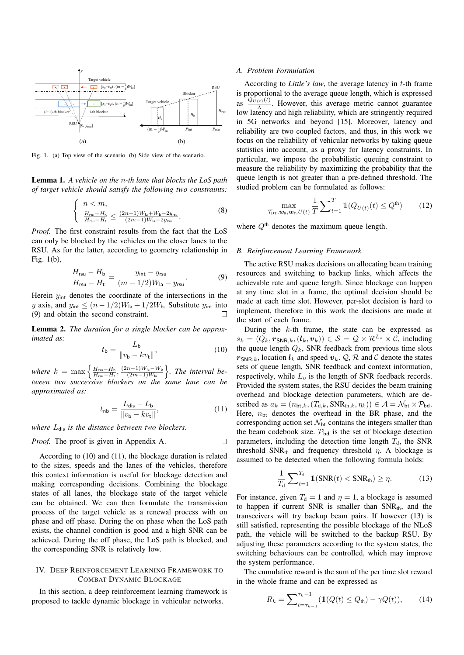

Fig. 1. (a) Top view of the scenario. (b) Side view of the scenario.

Lemma 1. *A vehicle on the* n*-th lane that blocks the LoS path of target vehicle should satisfy the following two constraints:*

$$
\begin{cases} n < m, \\ \frac{H_{\text{rsu}} - H_{\text{b}}}{H_{\text{rsu}} - H_{\text{t}}} \le \frac{(2n - 1)W_{\text{la}} + W_{\text{b}} - 2y_{\text{rsu}}}{(2m - 1)W_{\text{la}} - 2y_{\text{rsu}}}.\end{cases} \tag{8}
$$

*Proof.* The first constraint results from the fact that the LoS can only be blocked by the vehicles on the closer lanes to the RSU. As for the latter, according to geometry relationship in Fig. 1(b),

$$
\frac{H_{\rm rsu} - H_{\rm b}}{H_{\rm rsu} - H_{\rm t}} = \frac{y_{\rm int} - y_{\rm rsu}}{(m - 1/2)W_{\rm la} - y_{\rm rsu}}.\tag{9}
$$

Herein  $y_{\text{int}}$  denotes the coordinate of the intersections in the y axis, and  $y_{\text{int}} \le (n - 1/2)W_{\text{la}} + 1/2W_{\text{b}}$ . Substitute  $y_{\text{int}}$  into (9) and obtain the second constraint.  $\Box$ 

Lemma 2. *The duration for a single blocker can be approximated as:*

$$
t_{\mathsf{b}} = \frac{L_{\mathsf{b}}}{\|v_{\mathsf{b}} - kv_{\mathsf{t}}\|},\tag{10}
$$

where  $k = \max \left\{ \frac{H_{\text{rsu}} - H_{\text{b}}}{H_{\text{rsu}} - H_{\text{t}}}$ ,  $\frac{(2n-1)W_{\text{la}} - W_{\text{b}}}{(2m-1)W_{\text{la}}} \right\}$ . The interval be*tween two successive blockers on the same lane can be approximated as:*

$$
t_{\rm nb} = \frac{L_{\rm dis} - L_{\rm b}}{\|v_{\rm b} - kv_{\rm t}\|},\tag{11}
$$

*where*  $L_{dis}$  *is the distance between two blockers.* 

*Proof.* The proof is given in Appendix A.  $\Box$ 

According to (10) and (11), the blockage duration is related to the sizes, speeds and the lanes of the vehicles, therefore this context information is useful for blockage detection and making corresponding decisions. Combining the blockage states of all lanes, the blockage state of the target vehicle can be obtained. We can then formulate the transmission process of the target vehicle as a renewal process with on phase and off phase. During the on phase when the LoS path exists, the channel condition is good and a high SNR can be achieved. During the off phase, the LoS path is blocked, and the corresponding SNR is relatively low.

# IV. DEEP REINFORCEMENT LEARNING FRAMEWORK TO COMBAT DYNAMIC BLOCKAGE

In this section, a deep reinforcement learning framework is proposed to tackle dynamic blockage in vehicular networks.

#### *A. Problem Formulation*

According to *Little's law*, the average latency in t-th frame is proportional to the average queue length, which is expressed as  $\frac{Q_{U(t)}(t)}{\lambda}$ . However, this average metric cannot guarantee low latency and high reliability, which are stringently required in 5G networks and beyond [15]. Moreover, latency and reliability are two coupled factors, and thus, in this work we focus on the reliability of vehicular networks by taking queue statistics into account, as a proxy for latency constraints. In particular, we impose the probabilistic queuing constraint to measure the reliability by maximizing the probability that the queue length is not greater than a pre-defined threshold. The studied problem can be formulated as follows:

$$
\max_{\mathcal{T}_{\text{DT}}, \mathbf{w}_{\text{R}}, \mathbf{w}_{\text{T}}, U(t)} \frac{1}{T} \sum_{t=1}^{T} \mathbb{1}(Q_{U(t)}(t) \le Q^{\text{th}}) \tag{12}
$$

where  $Q^{\text{th}}$  denotes the maximum queue length.

# *B. Reinforcement Learning Framework*

The active RSU makes decisions on allocating beam training resources and switching to backup links, which affects the achievable rate and queue length. Since blockage can happen at any time slot in a frame, the optimal decision should be made at each time slot. However, per-slot decision is hard to implement, therefore in this work the decisions are made at the start of each frame.

During the  $k$ -th frame, the state can be expressed as  $s_k = (Q_k, r_{SNR,k}, (l_k, v_k)) \in S = \mathcal{Q} \times \mathcal{R}^{L_o} \times \mathcal{C}$ , including the queue length  $Q_k$ , SNR feedback from previous time slots  $r_{SNR,k}$ , location  $l_k$  and speed  $v_k$ .  $\mathcal{Q}, \mathcal{R}$  and C denote the states sets of queue length, SNR feedback and context information, respectively, while  $L<sub>o</sub>$  is the length of SNR feedback records. Provided the system states, the RSU decides the beam training overhead and blockage detection parameters, which are described as  $a_k = (n_{\text{bt},k},(T_{d,k}, \text{SNR}_{th,k}, \eta_k)) \in \mathcal{A} = \mathcal{N}_{\text{bt}} \times \mathcal{P}_{\text{bd}}.$ Here,  $n_{\text{bt}}$  denotes the overhead in the BR phase, and the corresponding action set  $\mathcal{N}_{\text{bt}}$  contains the integers smaller than the beam codebook size.  $P_{bd}$  is the set of blockage detection parameters, including the detection time length  $T<sub>d</sub>$ , the SNR threshold SNR<sub>th</sub> and frequency threshold  $\eta$ . A blockage is assumed to be detected when the following formula holds:

$$
\frac{1}{T_{\rm d}}\sum_{t=1}^{T_{\rm d}}\mathbb{1}(\text{SNR}(t) < \text{SNR}_{\rm th}) \ge \eta. \tag{13}
$$

For instance, given  $T_d = 1$  and  $\eta = 1$ , a blockage is assumed to happen if current SNR is smaller than  $SNR_{th}$ , and the transceivers will try backup beam pairs. If however (13) is still satisfied, representing the possible blockage of the NLoS path, the vehicle will be switched to the backup RSU. By adjusting these parameters according to the system states, the switching behaviours can be controlled, which may improve the system performance.

The cumulative reward is the sum of the per time slot reward in the whole frame and can be expressed as

$$
R_k = \sum_{t=\tau_{k-1}}^{\tau_k - 1} (\mathbb{1}(Q(t) \le Q_{\text{th}}) - \gamma Q(t)), \qquad (14)
$$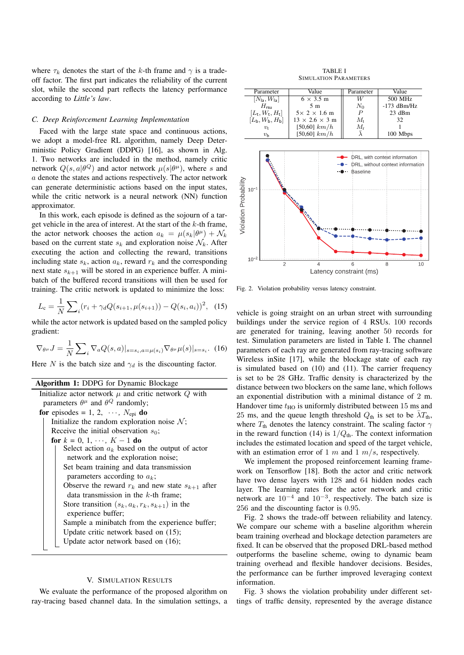where  $\tau_k$  denotes the start of the k-th frame and  $\gamma$  is a tradeoff factor. The first part indicates the reliability of the current slot, while the second part reflects the latency performance according to *Little's law*.

#### *C. Deep Reinforcement Learning Implementation*

Faced with the large state space and continuous actions, we adopt a model-free RL algorithm, namely Deep Deterministic Policy Gradient (DDPG) [16], as shown in Alg. 1. Two networks are included in the method, namely critic network  $Q(s, a | \theta^Q)$  and actor network  $\mu(s | \theta^{\mu})$ , where s and a denote the states and actions respectively. The actor network can generate deterministic actions based on the input states, while the critic network is a neural network (NN) function approximator.

In this work, each episode is defined as the sojourn of a target vehicle in the area of interest. At the start of the  $k$ -th frame, the actor network chooses the action  $a_k = \mu(s_k|\theta^{\mu}) + \mathcal{N}_k$ based on the current state  $s_k$  and exploration noise  $\mathcal{N}_k$ . After executing the action and collecting the reward, transitions including state  $s_k$ , action  $a_k$ , reward  $r_k$  and the corresponding next state  $s_{k+1}$  will be stored in an experience buffer. A minibatch of the buffered record transitions will then be used for training. The critic network is updated to minimize the loss:

$$
L_{\rm c} = \frac{1}{N} \sum_{i} (r_i + \gamma_d Q(s_{i+1}, \mu(s_{i+1})) - Q(s_i, a_i))^2, \tag{15}
$$

while the actor network is updated based on the sampled policy gradient:

$$
\nabla_{\theta^{\mu}} J = \frac{1}{N} \sum_{i} \nabla_a Q(s, a)|_{s=s_i, a=\mu(s_i)} \nabla_{\theta^{\mu}} \mu(s)|_{s=s_i}.
$$
 (16)

Here N is the batch size and  $\gamma_d$  is the discounting factor.

## Algorithm 1: DDPG for Dynamic Blockage

| Initialize actor network $\mu$ and critic network $Q$ with |
|------------------------------------------------------------|
| parameters $\theta^{\mu}$ and $\theta^{Q}$ randomly;       |
| for episodes = 1, 2, $\cdots$ , $N_{epi}$ do               |
| Initialize the random exploration noise $\mathcal{N}$ ;    |
| Receive the initial observation $s_0$ ;                    |
| for $k = 0, 1, \dots, K - 1$ do                            |
| Select action $a_k$ based on the output of actor           |
| network and the exploration noise;                         |
| Set beam training and data transmission                    |
| parameters according to $a_k$ ;                            |
| Observe the reward $r_k$ and new state $s_{k+1}$ after     |
| data transmission in the $k$ -th frame;                    |
| Store transition $(s_k, a_k, r_k, s_{k+1})$ in the         |
| experience buffer;                                         |
| Sample a minibatch from the experience buffer;             |
| Update critic network based on $(15)$ ;                    |
| Update actor network based on $(16)$ ;                     |
|                                                            |

#### V. SIMULATION RESULTS

We evaluate the performance of the proposed algorithm on ray-tracing based channel data. In the simulation settings, a

TABLE I SIMULATION PARAMETERS





Fig. 2. Violation probability versus latency constraint.

vehicle is going straight on an urban street with surrounding buildings under the service region of 4 RSUs. 100 records are generated for training, leaving another 50 records for test. Simulation parameters are listed in Table I. The channel parameters of each ray are generated from ray-tracing software Wireless inSite [17], while the blockage state of each ray is simulated based on (10) and (11). The carrier frequency is set to be 28 GHz. Traffic density is characterized by the distance between two blockers on the same lane, which follows an exponential distribution with a minimal distance of 2 m. Handover time  $t_{HO}$  is uniformly distributed between 15 ms and 25 ms, and the queue length threshold  $Q_{th}$  is set to be  $\bar{\lambda}T_{th}$ , where  $T_{\text{th}}$  denotes the latency constraint. The scaling factor  $\gamma$ in the reward function (14) is  $1/Q<sub>th</sub>$ . The context information includes the estimated location and speed of the target vehicle, with an estimation error of 1 m and 1  $m/s$ , respectively.

We implement the proposed reinforcement learning framework on Tensorflow [18]. Both the actor and critic network have two dense layers with 128 and 64 hidden nodes each layer. The learning rates for the actor network and critic network are  $10^{-4}$  and  $10^{-3}$ , respectively. The batch size is 256 and the discounting factor is 0.95.

Fig. 2 shows the trade-off between reliability and latency. We compare our scheme with a baseline algorithm wherein beam training overhead and blockage detection parameters are fixed. It can be observed that the proposed DRL-based method outperforms the baseline scheme, owing to dynamic beam training overhead and flexible handover decisions. Besides, the performance can be further improved leveraging context information.

Fig. 3 shows the violation probability under different settings of traffic density, represented by the average distance